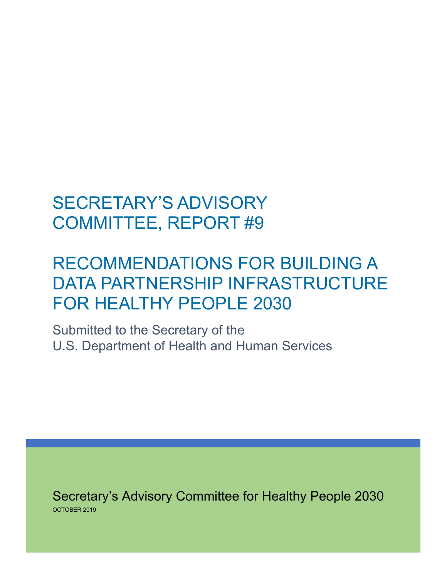# SECRETARY'S ADVISORY COMMITTEE, REPORT #9

# RECOMMENDATIONS FOR BUILDING A DATA PARTNERSHIP INFRASTRUCTURE FOR HEALTHY PEOPLE 2030

Submitted to the Secretary of the U.S. Department of Health and Human Services

Secretary's Advisory Committee for Healthy People 2030 OCTOBER 2019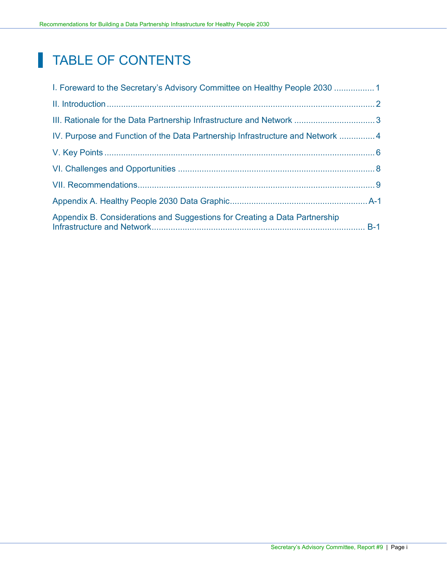## TABLE OF CONTENTS

| 1. Foreward to the Secretary's Advisory Committee on Healthy People 2030      |  |
|-------------------------------------------------------------------------------|--|
|                                                                               |  |
|                                                                               |  |
| IV. Purpose and Function of the Data Partnership Infrastructure and Network 4 |  |
|                                                                               |  |
|                                                                               |  |
|                                                                               |  |
|                                                                               |  |
| Appendix B. Considerations and Suggestions for Creating a Data Partnership    |  |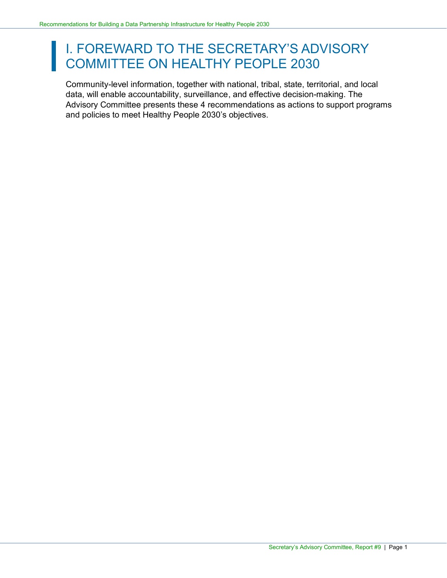# <span id="page-2-0"></span>I. FOREWARD TO THE SECRETARY'S ADVISORY I. FOREWARD TO THE SESTING.

Community-level information, together with national, tribal, state, territorial, and local data, will enable accountability, surveillance, and effective decision-making. The Advisory Committee presents these 4 recommendations as actions to support programs and policies to meet Healthy People 2030's objectives.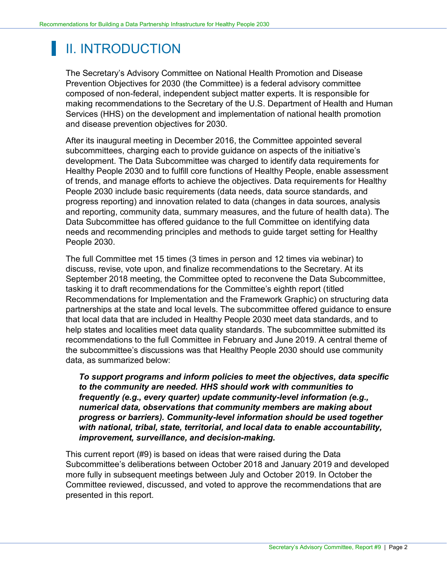## <span id="page-3-0"></span>II. INTRODUCTION

The Secretary's Advisory Committee on National Health Promotion and Disease Prevention Objectives for 2030 (the Committee) is a federal advisory committee composed of non-federal, independent subject matter experts. It is responsible for making recommendations to the Secretary of the U.S. Department of Health and Human Services (HHS) on the development and implementation of national health promotion and disease prevention objectives for 2030.

After its inaugural meeting in December 2016, the Committee appointed several subcommittees, charging each to provide guidance on aspects of the initiative's development. The Data Subcommittee was charged to identify data requirements for Healthy People 2030 and to fulfill core functions of Healthy People, enable assessment of trends, and manage efforts to achieve the objectives. Data requirements for Healthy People 2030 include basic requirements (data needs, data source standards, and progress reporting) and innovation related to data (changes in data sources, analysis and reporting, community data, summary measures, and the future of health data). The Data Subcommittee has offered guidance to the full Committee on identifying data needs and recommending principles and methods to guide target setting for Healthy People 2030.

The full Committee met 15 times (3 times in person and 12 times via webinar) to discuss, revise, vote upon, and finalize recommendations to the Secretary. At its September 2018 meeting, the Committee opted to reconvene the Data Subcommittee, tasking it to draft recommendations for the Committee's eighth report (titled Recommendations for Implementation and the Framework Graphic) on structuring data partnerships at the state and local levels. The subcommittee offered guidance to ensure that local data that are included in Healthy People 2030 meet data standards, and to help states and localities meet data quality standards. The subcommittee submitted its recommendations to the full Committee in February and June 2019. A central theme of the subcommittee's discussions was that Healthy People 2030 should use community data, as summarized below:

*To support programs and inform policies to meet the objectives, data specific to the community are needed. HHS should work with communities to frequently (e.g., every quarter) update community-level information (e.g., numerical data, observations that community members are making about progress or barriers). Community-level information should be used together with national, tribal, state, territorial, and local data to enable accountability, improvement, surveillance, and decision-making.*

This current report (#9) is based on ideas that were raised during the Data Subcommittee's deliberations between October 2018 and January 2019 and developed more fully in subsequent meetings between July and October 2019. In October the Committee reviewed, discussed, and voted to approve the recommendations that are presented in this report.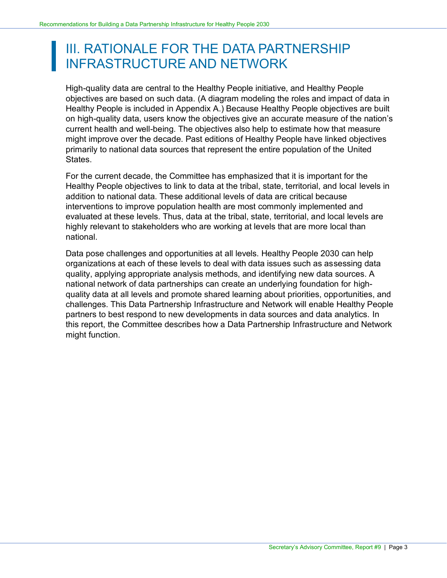### <span id="page-4-0"></span>III. RATIONALE FOR THE DATA PARTNERSHIP INFRASTRUCTURE AND NETWORK

High-quality data are central to the Healthy People initiative, and Healthy People objectives are based on such data. (A diagram modeling the roles and impact of data in Healthy People is included in Appendix A.) Because Healthy People objectives are built on high-quality data, users know the objectives give an accurate measure of the nation's current health and well-being. The objectives also help to estimate how that measure might improve over the decade. Past editions of Healthy People have linked objectives primarily to national data sources that represent the entire population of the United States.

For the current decade, the Committee has emphasized that it is important for the Healthy People objectives to link to data at the tribal, state, territorial, and local levels in addition to national data. These additional levels of data are critical because interventions to improve population health are most commonly implemented and evaluated at these levels. Thus, data at the tribal, state, territorial, and local levels are highly relevant to stakeholders who are working at levels that are more local than national.

Data pose challenges and opportunities at all levels. Healthy People 2030 can help organizations at each of these levels to deal with data issues such as assessing data quality, applying appropriate analysis methods, and identifying new data sources. A national network of data partnerships can create an underlying foundation for highquality data at all levels and promote shared learning about priorities, opportunities, and challenges. This Data Partnership Infrastructure and Network will enable Healthy People partners to best respond to new developments in data sources and data analytics. In this report, the Committee describes how a Data Partnership Infrastructure and Network might function.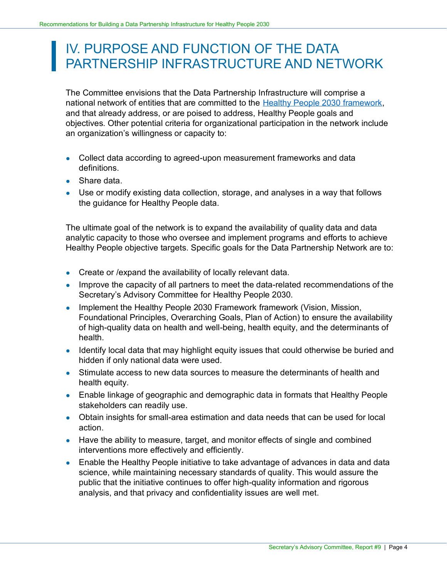### <span id="page-5-0"></span>IV. PURPOSE AND FUNCTION OF THE DATA PARTNERSHIP INFRASTRUCTURE AND NETWORK

The Committee envisions that the Data Partnership Infrastructure will comprise a national network of entities that are committed to the [Healthy People 2030 framework,](https://www.healthypeople.gov/2020/About-Healthy-People/Development-Healthy-People-2030/Framework) and that already address, or are poised to address, Healthy People goals and objectives. Other potential criteria for organizational participation in the network include an organization's willingness or capacity to:

- Collect data according to agreed-upon measurement frameworks and data definitions.
- Share data.
- Use or modify existing data collection, storage, and analyses in a way that follows the guidance for Healthy People data.

The ultimate goal of the network is to expand the availability of quality data and data analytic capacity to those who oversee and implement programs and efforts to achieve Healthy People objective targets. Specific goals for the Data Partnership Network are to:

- Create or / expand the availability of locally relevant data.
- Improve the capacity of all partners to meet the data-related recommendations of the Secretary's Advisory Committee for Healthy People 2030.
- Implement the Healthy People 2030 Framework framework (Vision, Mission, Foundational Principles, Overarching Goals, Plan of Action) to ensure the availability of high-quality data on health and well-being, health equity, and the determinants of health.
- Identify local data that may highlight equity issues that could otherwise be buried and hidden if only national data were used.
- Stimulate access to new data sources to measure the determinants of health and health equity.
- Enable linkage of geographic and demographic data in formats that Healthy People stakeholders can readily use.
- Obtain insights for small-area estimation and data needs that can be used for local action.
- Have the ability to measure, target, and monitor effects of single and combined interventions more effectively and efficiently.
- Enable the Healthy People initiative to take advantage of advances in data and data science, while maintaining necessary standards of quality. This would assure the public that the initiative continues to offer high-quality information and rigorous analysis, and that privacy and confidentiality issues are well met.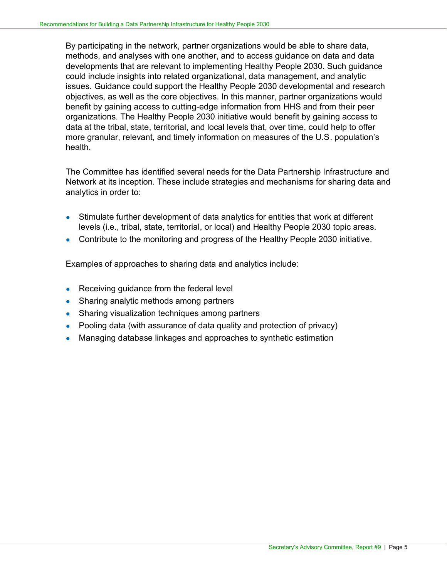By participating in the network, partner organizations would be able to share data, methods, and analyses with one another, and to access guidance on data and data developments that are relevant to implementing Healthy People 2030. Such guidance could include insights into related organizational, data management, and analytic issues. Guidance could support the Healthy People 2030 developmental and research objectives, as well as the core objectives. In this manner, partner organizations would benefit by gaining access to cutting-edge information from HHS and from their peer organizations. The Healthy People 2030 initiative would benefit by gaining access to data at the tribal, state, territorial, and local levels that, over time, could help to offer more granular, relevant, and timely information on measures of the U.S. population's health.

The Committee has identified several needs for the Data Partnership Infrastructure and Network at its inception. These include strategies and mechanisms for sharing data and analytics in order to:

- Stimulate further development of data analytics for entities that work at different levels (i.e., tribal, state, territorial, or local) and Healthy People 2030 topic areas.
- Contribute to the monitoring and progress of the Healthy People 2030 initiative.

Examples of approaches to sharing data and analytics include:

- Receiving guidance from the federal level
- Sharing analytic methods among partners
- Sharing visualization techniques among partners
- Pooling data (with assurance of data quality and protection of privacy)
- Managing database linkages and approaches to synthetic estimation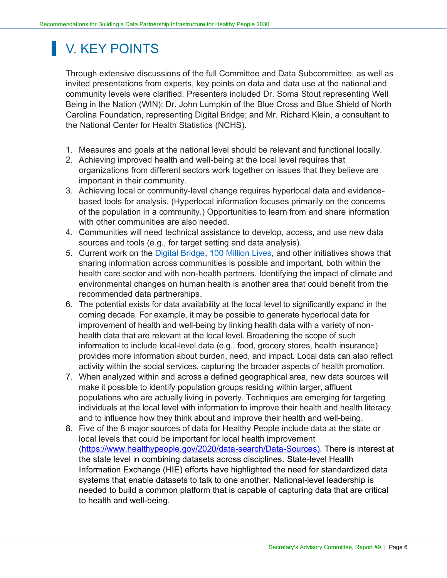## <span id="page-7-0"></span>V. KEY POINTS

Through extensive discussions of the full Committee and Data Subcommittee, as well as invited presentations from experts, key points on data and data use at the national and community levels were clarified. Presenters included Dr. Soma Stout representing Well Being in the Nation (WIN); Dr. John Lumpkin of the Blue Cross and Blue Shield of North Carolina Foundation, representing Digital Bridge; and Mr. Richard Klein, a consultant to the National Center for Health Statistics (NCHS).

- 1. Measures and goals at the national level should be relevant and functional locally.
- 2. Achieving improved health and well-being at the local level requires that organizations from different sectors work together on issues that they believe are important in their community.
- 3. Achieving local or community-level change requires hyperlocal data and evidencebased tools for analysis. (Hyperlocal information focuses primarily on the concerns of the population in a community.) Opportunities to learn from and share information with other communities are also needed.
- 4. Communities will need technical assistance to develop, access, and use new data sources and tools (e.g., for target setting and data analysis).
- 5. Current work on the [Digital Bridge,](https://digitalbridge.us/infoex/?_sm_au_=iMVS6MPN4j5qk5RJCsHGjKsjFQJVc) [100 Million Lives,](https://www.100mlives.org/) and other initiatives shows that sharing information across communities is possible and important, both within the health care sector and with non-health partners. Identifying the impact of climate and environmental changes on human health is another area that could benefit from the recommended data partnerships.
- 6. The potential exists for data availability at the local level to significantly expand in the coming decade. For example, it may be possible to generate hyperlocal data for improvement of health and well-being by linking health data with a variety of nonhealth data that are relevant at the local level. Broadening the scope of such information to include local-level data (e.g., food, grocery stores, health insurance) provides more information about burden, need, and impact. Local data can also reflect activity within the social services, capturing the broader aspects of health promotion.
- 7. When analyzed within and across a defined geographical area, new data sources will make it possible to identify population groups residing within larger, affluent populations who are actually living in poverty. Techniques are emerging for targeting individuals at the local level with information to improve their health and health literacy, and to influence how they think about and improve their health and well-being.
- 8. Five of the 8 major sources of data for Healthy People include data at the state or local levels that could be important for local health improvement [\(https://www.healthypeople.gov/2020/data-search/Data-Sources\)](https://www.healthypeople.gov/2020/data-search/Data-Sources). There is interest at the state level in combining datasets across disciplines. State-level Health Information Exchange (HIE) efforts have highlighted the need for standardized data systems that enable datasets to talk to one another. National-level leadership is needed to build a common platform that is capable of capturing data that are critical to health and well-being.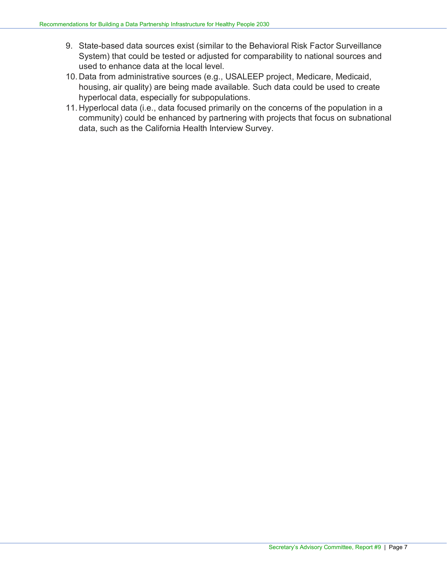- 9. State-based data sources exist (similar to the Behavioral Risk Factor Surveillance System) that could be tested or adjusted for comparability to national sources and used to enhance data at the local level.
- 10. Data from administrative sources (e.g., USALEEP project, Medicare, Medicaid, housing, air quality) are being made available. Such data could be used to create hyperlocal data, especially for subpopulations.
- 11. Hyperlocal data (i.e., data focused primarily on the concerns of the population in a community) could be enhanced by partnering with projects that focus on subnational data, such as the California Health Interview Survey.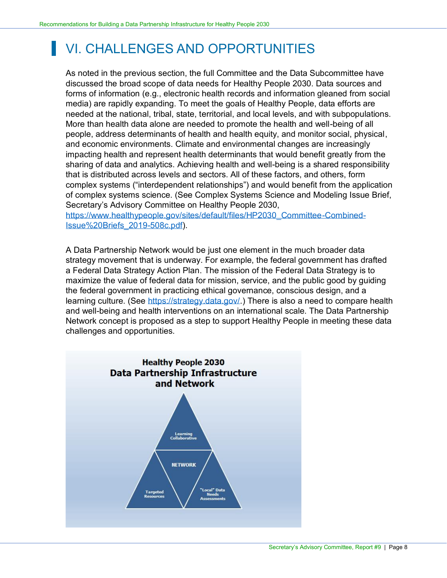## <span id="page-9-0"></span>VI. CHALLENGES AND OPPORTUNITIES

As noted in the previous section, the full Committee and the Data Subcommittee have discussed the broad scope of data needs for Healthy People 2030. Data sources and forms of information (e.g., electronic health records and information gleaned from social media) are rapidly expanding. To meet the goals of Healthy People, data efforts are needed at the national, tribal, state, territorial, and local levels, and with subpopulations. More than health data alone are needed to promote the health and well-being of all people, address determinants of health and health equity, and monitor social, physical, and economic environments. Climate and environmental changes are increasingly impacting health and represent health determinants that would benefit greatly from the sharing of data and analytics. Achieving health and well-being is a shared responsibility that is distributed across levels and sectors. All of these factors, and others, form complex systems ("interdependent relationships") and would benefit from the application of complex systems science. (See Complex Systems Science and Modeling Issue Brief, Secretary's Advisory Committee on Healthy People 2030,

[https://www.healthypeople.gov/sites/default/files/HP2030\\_Committee-Combined-](https://www.healthypeople.gov/sites/default/files/HP2030_Committee-Combined-Issue%20Briefs_2019-508c.pdf)Issue%20Briefs\_2019-508c.pdf).

A Data Partnership Network would be just one element in the much broader data strategy movement that is underway. For example, the federal government has drafted a Federal Data Strategy Action Plan. The mission of the Federal Data Strategy is to maximize the value of federal data for mission, service, and the public good by guiding the federal government in practicing ethical governance, conscious design, and a learning culture. (See [https://strategy.data.gov/.](https://strategy.data.gov/)) There is also a need to compare health and well-being and health interventions on an international scale. The Data Partnership Network concept is proposed as a step to support Healthy People in meeting these data challenges and opportunities.

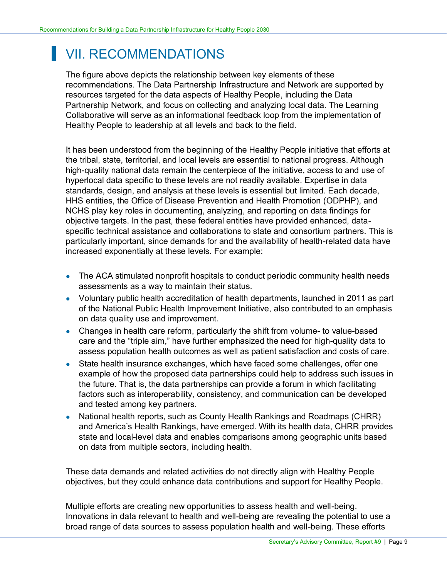### <span id="page-10-0"></span>VII. RECOMMENDATIONS

The figure above depicts the relationship between key elements of these recommendations. The Data Partnership Infrastructure and Network are supported by resources targeted for the data aspects of Healthy People, including the Data Partnership Network, and focus on collecting and analyzing local data. The Learning Collaborative will serve as an informational feedback loop from the implementation of Healthy People to leadership at all levels and back to the field.

It has been understood from the beginning of the Healthy People initiative that efforts at the tribal, state, territorial, and local levels are essential to national progress. Although high-quality national data remain the centerpiece of the initiative, access to and use of hyperlocal data specific to these levels are not readily available. Expertise in data standards, design, and analysis at these levels is essential but limited. Each decade, HHS entities, the Office of Disease Prevention and Health Promotion (ODPHP), and NCHS play key roles in documenting, analyzing, and reporting on data findings for objective targets. In the past, these federal entities have provided enhanced, dataspecific technical assistance and collaborations to state and consortium partners. This is particularly important, since demands for and the availability of health-related data have increased exponentially at these levels. For example:

- The ACA stimulated nonprofit hospitals to conduct periodic community health needs assessments as a way to maintain their status.
- Voluntary public health accreditation of health departments, launched in 2011 as part of the National Public Health Improvement Initiative, also contributed to an emphasis on data quality use and improvement.
- Changes in health care reform, particularly the shift from volume- to value-based care and the "triple aim," have further emphasized the need for high-quality data to assess population health outcomes as well as patient satisfaction and costs of care.
- State health insurance exchanges, which have faced some challenges, offer one example of how the proposed data partnerships could help to address such issues in the future. That is, the data partnerships can provide a forum in which facilitating factors such as interoperability, consistency, and communication can be developed and tested among key partners.
- National health reports, such as County Health Rankings and Roadmaps (CHRR) and America's Health Rankings, have emerged. With its health data, CHRR provides state and local-level data and enables comparisons among geographic units based on data from multiple sectors, including health.

These data demands and related activities do not directly align with Healthy People objectives, but they could enhance data contributions and support for Healthy People.

Multiple efforts are creating new opportunities to assess health and well-being. Innovations in data relevant to health and well-being are revealing the potential to use a broad range of data sources to assess population health and well-being. These efforts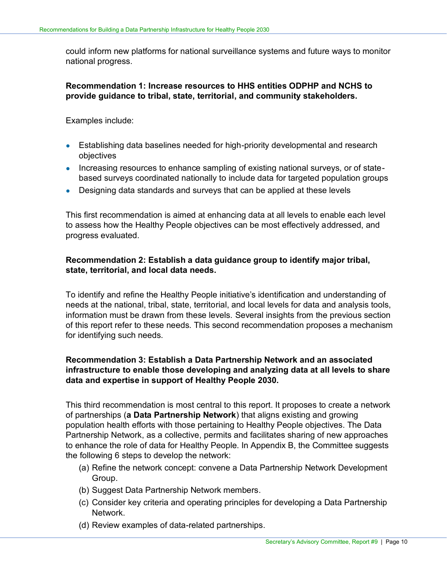could inform new platforms for national surveillance systems and future ways to monitor national progress.

**Recommendation 1: Increase resources to HHS entities ODPHP and NCHS to provide guidance to tribal, state, territorial, and community stakeholders.**

Examples include:

- Establishing data baselines needed for high-priority developmental and research objectives
- Increasing resources to enhance sampling of existing national surveys, or of statebased surveys coordinated nationally to include data for targeted population groups
- Designing data standards and surveys that can be applied at these levels

This first recommendation is aimed at enhancing data at all levels to enable each level to assess how the Healthy People objectives can be most effectively addressed, and progress evaluated.

#### **Recommendation 2: Establish a data guidance group to identify major tribal, state, territorial, and local data needs.**

To identify and refine the Healthy People initiative's identification and understanding of needs at the national, tribal, state, territorial, and local levels for data and analysis tools, information must be drawn from these levels. Several insights from the previous section of this report refer to these needs. This second recommendation proposes a mechanism for identifying such needs.

#### **Recommendation 3: Establish a Data Partnership Network and an associated infrastructure to enable those developing and analyzing data at all levels to share data and expertise in support of Healthy People 2030.**

This third recommendation is most central to this report. It proposes to create a network of partnerships (**a Data Partnership Network**) that aligns existing and growing population health efforts with those pertaining to Healthy People objectives. The Data Partnership Network, as a collective, permits and facilitates sharing of new approaches to enhance the role of data for Healthy People. In Appendix B, the Committee suggests the following 6 steps to develop the network:

- (a) Refine the network concept: convene a Data Partnership Network Development Group.
- (b) Suggest Data Partnership Network members.
- (c) Consider key criteria and operating principles for developing a Data Partnership Network.
- (d) Review examples of data-related partnerships.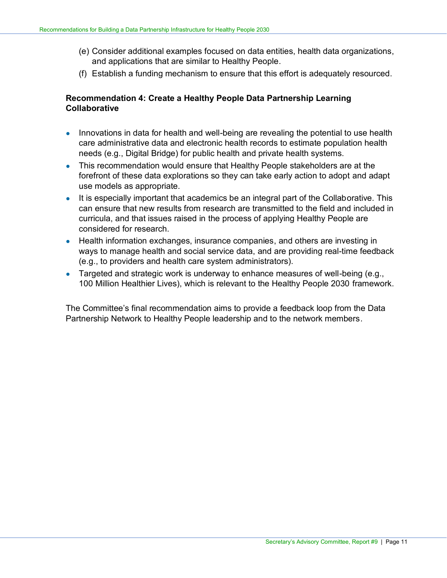- (e) Consider additional examples focused on data entities, health data organizations, and applications that are similar to Healthy People.
- (f) Establish a funding mechanism to ensure that this effort is adequately resourced.

#### **Recommendation 4: Create a Healthy People Data Partnership Learning Collaborative**

- Innovations in data for health and well-being are revealing the potential to use health care administrative data and electronic health records to estimate population health needs (e.g., Digital Bridge) for public health and private health systems.
- This recommendation would ensure that Healthy People stakeholders are at the forefront of these data explorations so they can take early action to adopt and adapt use models as appropriate.
- It is especially important that academics be an integral part of the Collaborative. This can ensure that new results from research are transmitted to the field and included in curricula, and that issues raised in the process of applying Healthy People are considered for research.
- Health information exchanges, insurance companies, and others are investing in ways to manage health and social service data, and are providing real-time feedback (e.g., to providers and health care system administrators).
- Targeted and strategic work is underway to enhance measures of well-being (e.g., 100 Million Healthier Lives), which is relevant to the Healthy People 2030 framework.

The Committee's final recommendation aims to provide a feedback loop from the Data Partnership Network to Healthy People leadership and to the network members.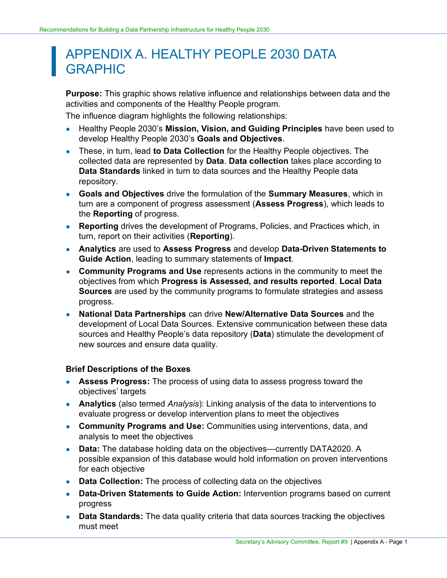### <span id="page-13-0"></span>APPENDIX A. HEALTHY PEOPLE 2030 DATA GRAPHIC

**Purpose:** This graphic shows relative influence and relationships between data and the activities and components of the Healthy People program.

The influence diagram highlights the following relationships:

- Healthy People 2030's **Mission, Vision, and Guiding Principles** have been used to develop Healthy People 2030's **Goals and Objectives**.
- These, in turn, lead **to Data Collection** for the Healthy People objectives. The collected data are represented by **Data**. **Data collection** takes place according to **Data Standards** linked in turn to data sources and the Healthy People data repository.
- **Goals and Objectives** drive the formulation of the **Summary Measures**, which in turn are a component of progress assessment (**Assess Progress**), which leads to the **Reporting** of progress.
- **Reporting** drives the development of Programs, Policies, and Practices which, in turn, report on their activities (**Reporting**).
- **Analytics** are used to **Assess Progress** and develop **Data-Driven Statements to Guide Action**, leading to summary statements of **Impact**.
- **Community Programs and Use** represents actions in the community to meet the objectives from which **Progress is Assessed, and results reported**. **Local Data Sources** are used by the community programs to formulate strategies and assess progress.
- **National Data Partnerships** can drive **New/Alternative Data Sources** and the development of Local Data Sources. Extensive communication between these data sources and Healthy People's data repository (**Data**) stimulate the development of new sources and ensure data quality.

#### **Brief Descriptions of the Boxes**

- **Assess Progress:** The process of using data to assess progress toward the objectives' targets
- **Analytics** (also termed *Analysis*): Linking analysis of the data to interventions to evaluate progress or develop intervention plans to meet the objectives
- **Community Programs and Use:** Communities using interventions, data, and analysis to meet the objectives
- **Data:** The database holding data on the objectives—currently DATA2020. A possible expansion of this database would hold information on proven interventions for each objective
- **Data Collection:** The process of collecting data on the objectives
- **Data-Driven Statements to Guide Action:** Intervention programs based on current progress
- **Data Standards:** The data quality criteria that data sources tracking the objectives must meet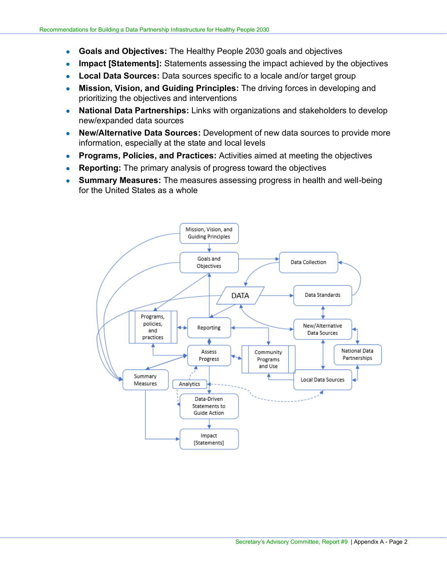- **Goals and Objectives:** The Healthy People 2030 goals and objectives
- **Impact [Statements]:** Statements assessing the impact achieved by the objectives
- **Local Data Sources:** Data sources specific to a locale and/or target group
- **Mission, Vision, and Guiding Principles:** The driving forces in developing and prioritizing the objectives and interventions
- **National Data Partnerships:** Links with organizations and stakeholders to develop new/expanded data sources
- **New/Alternative Data Sources:** Development of new data sources to provide more information, especially at the state and local levels
- **Programs, Policies, and Practices:** Activities aimed at meeting the objectives
- **Reporting:** The primary analysis of progress toward the objectives
- **Summary Measures:** The measures assessing progress in health and well-being for the United States as a whole

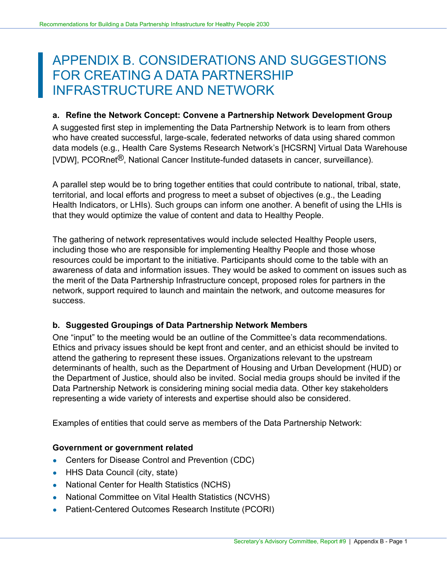### <span id="page-15-0"></span>APPENDIX B. CONSIDERATIONS AND SUGGESTIONS FOR CREATING A DATA PARTNERSHIP INFRASTRUCTURE AND NETWORK

#### **a. Refine the Network Concept: Convene a Partnership Network Development Group**

A suggested first step in implementing the Data Partnership Network is to learn from others who have created successful, large-scale, federated networks of data using shared common data models (e.g., Health Care Systems Research Network's [HCSRN] Virtual Data Warehouse [VDW], PCORnet<sup>®</sup>, National Cancer Institute-funded datasets in cancer, surveillance).

A parallel step would be to bring together entities that could contribute to national, tribal, state, territorial, and local efforts and progress to meet a subset of objectives (e.g., the Leading Health Indicators, or LHIs). Such groups can inform one another. A benefit of using the LHIs is that they would optimize the value of content and data to Healthy People.

The gathering of network representatives would include selected Healthy People users, including those who are responsible for implementing Healthy People and those whose resources could be important to the initiative. Participants should come to the table with an awareness of data and information issues. They would be asked to comment on issues such as the merit of the Data Partnership Infrastructure concept, proposed roles for partners in the network, support required to launch and maintain the network, and outcome measures for success.

#### **b. Suggested Groupings of Data Partnership Network Members**

One "input" to the meeting would be an outline of the Committee's data recommendations. Ethics and privacy issues should be kept front and center, and an ethicist should be invited to attend the gathering to represent these issues. Organizations relevant to the upstream determinants of health, such as the Department of Housing and Urban Development (HUD) or the Department of Justice, should also be invited. Social media groups should be invited if the Data Partnership Network is considering mining social media data. Other key stakeholders representing a wide variety of interests and expertise should also be considered.

Examples of entities that could serve as members of the Data Partnership Network:

#### **Government or government related**

- Centers for Disease Control and Prevention (CDC)
- HHS Data Council (city, state)
- National Center for Health Statistics (NCHS)
- National Committee on Vital Health Statistics (NCVHS)
- Patient-Centered Outcomes Research Institute (PCORI)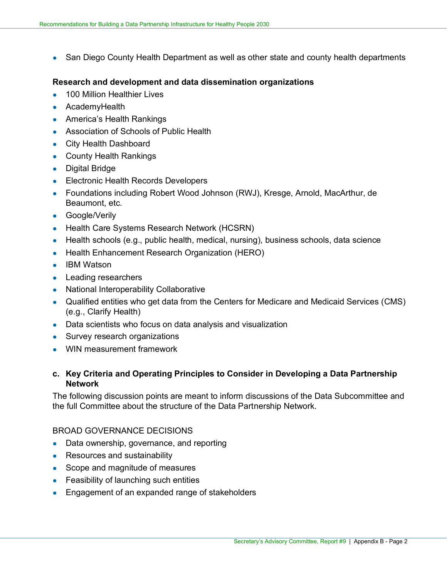• San Diego County Health Department as well as other state and county health departments

#### **Research and development and data dissemination organizations**

- 100 Million Healthier Lives
- AcademyHealth
- America's Health Rankings
- Association of Schools of Public Health
- City Health Dashboard
- County Health Rankings
- Digital Bridge
- **•** Electronic Health Records Developers
- Foundations including Robert Wood Johnson (RWJ), Kresge, Arnold, MacArthur, de Beaumont, etc.
- Google/Verily
- Health Care Systems Research Network (HCSRN)
- Health schools (e.g., public health, medical, nursing), business schools, data science
- Health Enhancement Research Organization (HERO)
- IBM Watson
- Leading researchers
- National Interoperability Collaborative
- Qualified entities who get data from the Centers for Medicare and Medicaid Services (CMS) (e.g., Clarify Health)
- Data scientists who focus on data analysis and visualization
- Survey research organizations
- WIN measurement framework

#### **c. Key Criteria and Operating Principles to Consider in Developing a Data Partnership Network**

The following discussion points are meant to inform discussions of the Data Subcommittee and the full Committee about the structure of the Data Partnership Network.

#### BROAD GOVERNANCE DECISIONS

- Data ownership, governance, and reporting
- Resources and sustainability
- Scope and magnitude of measures
- Feasibility of launching such entities
- Engagement of an expanded range of stakeholders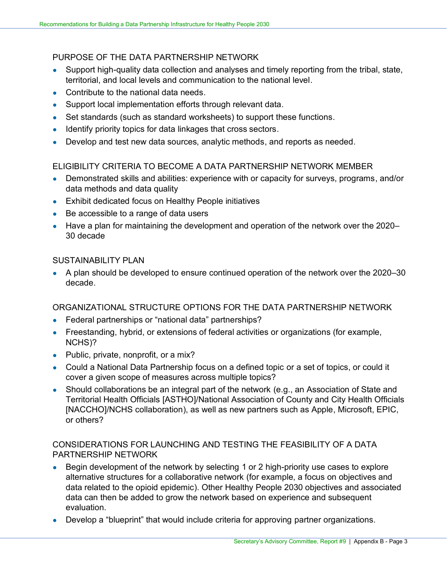#### PURPOSE OF THE DATA PARTNERSHIP NETWORK

- Support high-quality data collection and analyses and timely reporting from the tribal, state, territorial, and local levels and communication to the national level.
- Contribute to the national data needs.
- Support local implementation efforts through relevant data.
- Set standards (such as standard worksheets) to support these functions.
- Identify priority topics for data linkages that cross sectors.
- Develop and test new data sources, analytic methods, and reports as needed.

#### ELIGIBILITY CRITERIA TO BECOME A DATA PARTNERSHIP NETWORK MEMBER

- Demonstrated skills and abilities: experience with or capacity for surveys, programs, and/or data methods and data quality
- Exhibit dedicated focus on Healthy People initiatives
- Be accessible to a range of data users
- Have a plan for maintaining the development and operation of the network over the 2020– 30 decade

#### SUSTAINABILITY PLAN

• A plan should be developed to ensure continued operation of the network over the 2020–30 decade.

ORGANIZATIONAL STRUCTURE OPTIONS FOR THE DATA PARTNERSHIP NETWORK

- Federal partnerships or "national data" partnerships?
- Freestanding, hybrid, or extensions of federal activities or organizations (for example, NCHS)?
- Public, private, nonprofit, or a mix?
- Could a National Data Partnership focus on a defined topic or a set of topics, or could it cover a given scope of measures across multiple topics?
- Should collaborations be an integral part of the network (e.g., an Association of State and Territorial Health Officials [ASTHO]/National Association of County and City Health Officials [NACCHO]/NCHS collaboration), as well as new partners such as Apple, Microsoft, EPIC, or others?

#### CONSIDERATIONS FOR LAUNCHING AND TESTING THE FEASIBILITY OF A DATA PARTNERSHIP NETWORK

- Begin development of the network by selecting 1 or 2 high-priority use cases to explore alternative structures for a collaborative network (for example, a focus on objectives and data related to the opioid epidemic). Other Healthy People 2030 objectives and associated data can then be added to grow the network based on experience and subsequent evaluation.
- Develop a "blueprint" that would include criteria for approving partner organizations.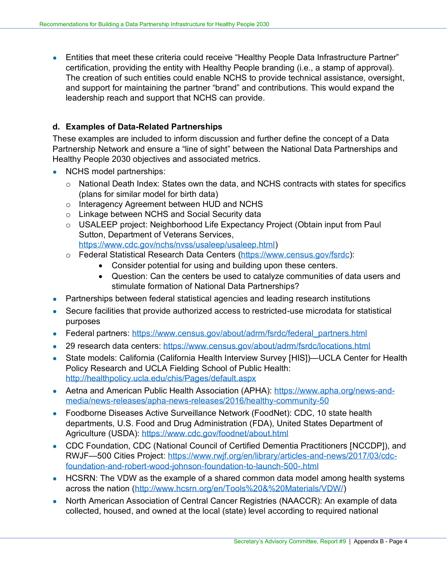• Entities that meet these criteria could receive "Healthy People Data Infrastructure Partner" certification, providing the entity with Healthy People branding (i.e., a stamp of approval). The creation of such entities could enable NCHS to provide technical assistance, oversight, and support for maintaining the partner "brand" and contributions. This would expand the leadership reach and support that NCHS can provide.

#### **d. Examples of Data-Related Partnerships**

These examples are included to inform discussion and further define the concept of a Data Partnership Network and ensure a "line of sight" between the National Data Partnerships and Healthy People 2030 objectives and associated metrics.

- NCHS model partnerships:
	- o National Death Index: States own the data, and NCHS contracts with states for specifics (plans for similar model for birth data)
	- o Interagency Agreement between HUD and NCHS
	- o Linkage between NCHS and Social Security data
	- o USALEEP project: Neighborhood Life Expectancy Project (Obtain input from Paul Sutton, Department of Veterans Services, [https://www.cdc.gov/nchs/nvss/usaleep/usaleep.html\)](https://www.cdc.gov/nchs/nvss/usaleep/usaleep.html)
	- o Federal Statistical Research Data Centers [\(https://www.census.gov/fsrdc\)](https://www.census.gov/fsrdc):
		- Consider potential for using and building upon these centers.
		- Question: Can the centers be used to catalyze communities of data users and stimulate formation of National Data Partnerships?
- Partnerships between federal statistical agencies and leading research institutions
- Secure facilities that provide authorized access to restricted-use microdata for statistical purposes
- Federal partners: [https://www.census.gov/about/adrm/fsrdc/federal\\_partners.html](https://www.census.gov/about/adrm/fsrdc/federal_partners.html)
- 29 research data centers: <https://www.census.gov/about/adrm/fsrdc/locations.html>
- State models: California (California Health Interview Survey [HIS])—UCLA Center for Health Policy Research and UCLA Fielding School of Public Health: <http://healthpolicy.ucla.edu/chis/Pages/default.aspx>
- Aetna and American Public Health Association (APHA): [https://www.apha.org/news-and](https://www.apha.org/news-and-media/news-releases/apha-news-releases/2016/healthy-community-50)[media/news-releases/apha-news-releases/2016/healthy-community-50](https://www.apha.org/news-and-media/news-releases/apha-news-releases/2016/healthy-community-50)
- Foodborne Diseases Active Surveillance Network (FoodNet): CDC, 10 state health departments, U.S. Food and Drug Administration (FDA), United States Department of Agriculture (USDA): <https://www.cdc.gov/foodnet/about.html>
- CDC Foundation, CDC (National Council of Certified Dementia Practitioners [NCCDP]), and RWJF—500 Cities Project: [https://www.rwjf.org/en/library/articles-and-news/2017/03/cdc](https://www.rwjf.org/en/library/articles-and-news/2017/03/cdc-foundation-and-robert-wood-johnson-foundation-to-launch-500-.html)[foundation-and-robert-wood-johnson-foundation-to-launch-500-.html](https://www.rwjf.org/en/library/articles-and-news/2017/03/cdc-foundation-and-robert-wood-johnson-foundation-to-launch-500-.html)
- HCSRN: The VDW as the example of a shared common data model among health systems across the nation [\(http://www.hcsrn.org/en/Tools%20&%20Materials/VDW/\)](http://www.hcsrn.org/en/Tools%20&%20Materials/VDW/)
- North American Association of Central Cancer Registries (NAACCR): An example of data collected, housed, and owned at the local (state) level according to required national